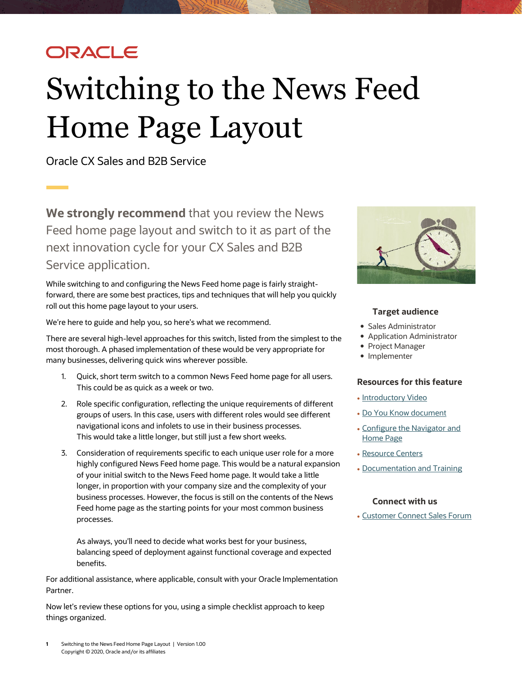## ORACLE

# Switching to the News Feed Home Page Layout

Oracle CX Sales and B2B Service

**We strongly recommend** that you review the News Feed home page layout and switch to it as part of the next innovation cycle for your CX Sales and B2B Service application.

While switching to and configuring the News Feed home page is fairly straightforward, there are some best practices, tips and techniques that will help you quickly roll out this home page layout to your users.

We're here to guide and help you, so here's what we recommend.

There are several high-level approaches for this switch, listed from the simplest to the most thorough. A phased implementation of these would be very appropriate for many businesses, delivering quick wins wherever possible.

- 1. Quick, short term switch to a common News Feed home page for all users. This could be as quick as a week or two.
- 2. Role specific configuration, reflecting the unique requirements of different groups of users. In this case, users with different roles would see different navigational icons and infolets to use in their business processes. This would take a little longer, but still just a few short weeks.
- 3. Consideration of requirements specific to each unique user role for a more highly configured News Feed home page. This would be a natural expansion of your initial switch to the News Feed home page. It would take a little longer, in proportion with your company size and the complexity of your business processes. However, the focus is still on the contents of the News Feed home page as the starting points for your most common business processes.

As always, you'll need to decide what works best for your business, balancing speed of deployment against functional coverage and expected benefits.

For additional assistance, where applicable, consult with your Oracle Implementation Partner.

Now let's review these options for you, using a simple checklist approach to keep things organized.



### **Target audience**

- Sales Administrator
- Application Administrator
- Project Manager
- Implementer

### **Resources for this feature**

- [Introductory Video](https://videohub.oracle.com/media/CX+Sales+News+Feed+Home+Page+Layout+/1_x59i5onw)
- [Do You Know](https://www.oracle.com/webfolder/cx-implementation/newsfeed-homepage-dyk.pdf) document
- [Configure the Navigator and](http://www.oracle.com/pls/topic/lookup?ctx=cloud&id=FASMC3572355)  [Home Page](http://www.oracle.com/pls/topic/lookup?ctx=cloud&id=FASMC3572355)
- [Resource Centers](https://support.oracle.com/epmos/faces/DocumentDisplay?id=1482696.1)
- [Documentation and Training](https://www.oracle.com/applications/customer-experience/sales/resources.html#training)

### **Connect with us**

• [Customer Connect Sales Forum](https://cloudcustomerconnect.oracle.com/resources/110dfe9610/summary)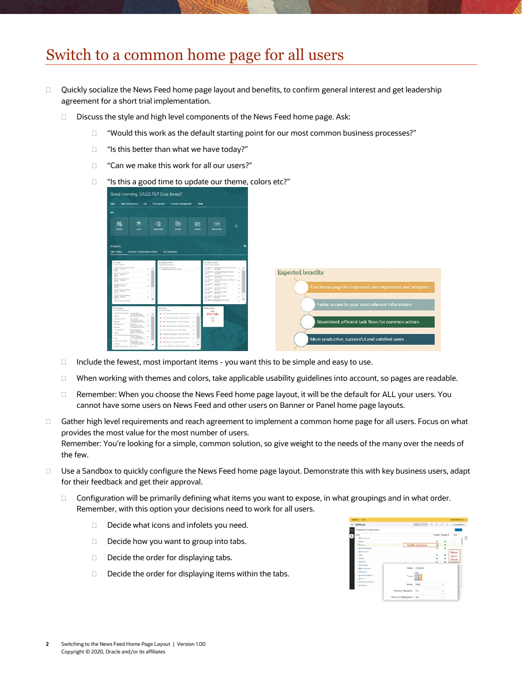### Switch to a common home page for all users

- $\Box$  Quickly socialize the News Feed home page layout and benefits, to confirm general interest and get leadership agreement for a short trial implementation.
	- □ Discuss the style and high level components of the News Feed home page. Ask:
		- $\Box$  "Would this work as the default starting point for our most common business processes?"
		- $\Box$  "Is this better than what we have today?"
		- □ "Can we make this work for all our users?"
		- $\Box$  "Is this a good time to update our theme, colors etc?"

| Sales<br>Sales Performance<br>Ma<br>Procurement<br>Contract Management<br>Other<br><b>APPS</b><br>齬<br>膔<br>ශ<br>画<br>⊞<br>丽<br>$^{+}$<br><b>Leads</b><br><b>AdMini</b><br>Opportunities.<br><b>Accounts</b><br>Contacts<br><b>Business Plans</b><br>٠<br>Analytics<br>Sales Infolets<br>Incentive Compensation Infolets<br>My Dashboard<br>My Tasks<br>My Appointments<br>My Consolucities<br>lostey's Appointments w<br>Closing This Coasterw<br>verbal Texts w<br>981 10:00 PM - 11:00 PM<br>Sent product proposal for deal<br><b>ALC</b><br>$$ A<br>Membrar neth About send him boxes<br><b>Dream 10100</b><br><b>Expected benefits</b><br>Apple<br>14 - Passeri, , Poelelios Inisigance Project<br><b>STATE</b><br>Sand Product Proposal<br>bergine<br>$-200$<br><b>COLLECTION</b><br>D-mail 20120<br>DE - Negotia Cloud Computing Deployment.<br>1.11<br>limits.<br>\$1,000,000<br>378/22<br>Send product brochure<br>II - Quello  Giobal Technologies - Sentral P.<br>$\sim$<br>Europe 27000<br>325/22<br>\$325,000<br>Apply<br>14 - Quantic  Maine Date Center<br>Agreement on T & C<br>$\cdots$<br>12100<br>\$11,493<br>and it<br><b>Medag STROD</b><br>Dance.<br>11 - Quello:  Denve Data Center<br>100<br>Subret Suicibin Mappins<br>52.000<br>667,583<br><b>COLL</b><br>Internet 2/25/20<br>11 - Quettle  Dallas Data Center<br>$100 - 100$<br>Danmar.<br>32199<br>\$62,583<br>Submit Solution Mapping<br>11 - Quello  Boise Data Center<br>News: 20500<br>$\cdots$<br>188.5<br>5/2 FOR 667-1801<br>Denge .<br>$\overline{\phantom{a}}$<br>٠<br>52 - Discovery Distributed Call Center<br>$\sim$<br>Submit Solution Manneys<br><b>Staffed Deale</b><br>My Accounts<br>My Lends<br>My Favorite Accounts w<br>My Coun Leads w<br>Open<br>Persona bustratories Joshua Baker<br>\$10,76M<br>controlled<br>+1 (208) 958-1288<br><b>SET ATH AVENUIDE SEL</b><br><b>Court in</b><br>Court<br>4 USC Computer Services - Sentral Power<br>Deron Nebrorks<br>Jim Geratem<br>+1 (212) @h2,3308<br><b>COL</b><br>28<br>Delivore<br>1002 Wall Street Suite<br>Data Redessed for - Life 176 Lepap<br><b>Contract</b><br>Set Kinty<br>+1 (212) 587-1203<br>Mone Dewol com<br>1000<br>A Dada Hestegnete Inc . Dentred Planet Se.,<br>Delivous<br>1003 Wall Street, Suit.<br>27 Corporation<br>Server-Marleson<br>A Denne Nationalis - Gillie 1750 Landon<br><b>ARA</b><br>110121430-4703<br><b>Long</b><br>MALL: U.S. Kin Citis<br><b>South</b><br>Persone Instrumpton - UDra Planar Sarv<br>USC Computer Services/Kettin Prouty<br>1029-00 (d19) 11<br><b>Long</b><br>Termete lastroispas - Saninal Ponar S.,<br>Amby.<br>401 E fresh Shipping.<br>Global Technologies<br>Mark Gordon<br>Star Colleg HG - Vario 5000 Table!<br>17.000.003-0508 ---<br><b>The Contract</b><br>Prefixent<br>1005 Khall Shawin (2014)<br>$\checkmark$<br>& Costons Networks - Sentral Power Serve<br>Applied Many Circuits Kee Libert | Good morning, SALES REP (Lisa Jones)! |  |  |  |
|-----------------------------------------------------------------------------------------------------------------------------------------------------------------------------------------------------------------------------------------------------------------------------------------------------------------------------------------------------------------------------------------------------------------------------------------------------------------------------------------------------------------------------------------------------------------------------------------------------------------------------------------------------------------------------------------------------------------------------------------------------------------------------------------------------------------------------------------------------------------------------------------------------------------------------------------------------------------------------------------------------------------------------------------------------------------------------------------------------------------------------------------------------------------------------------------------------------------------------------------------------------------------------------------------------------------------------------------------------------------------------------------------------------------------------------------------------------------------------------------------------------------------------------------------------------------------------------------------------------------------------------------------------------------------------------------------------------------------------------------------------------------------------------------------------------------------------------------------------------------------------------------------------------------------------------------------------------------------------------------------------------------------------------------------------------------------------------------------------------------------------------------------------------------------------------------------------------------------------------------------------------------------------------------------------------------------------------------------------------------------------------------------------------------------------------------------------------------------------------------------------------------------------------------------------------------------------------------------------------------------------------------------------------------------------------------------------------------------------------------------------------------------------------------------------------------------------------------------------------------------------------------------------------------|---------------------------------------|--|--|--|
|                                                                                                                                                                                                                                                                                                                                                                                                                                                                                                                                                                                                                                                                                                                                                                                                                                                                                                                                                                                                                                                                                                                                                                                                                                                                                                                                                                                                                                                                                                                                                                                                                                                                                                                                                                                                                                                                                                                                                                                                                                                                                                                                                                                                                                                                                                                                                                                                                                                                                                                                                                                                                                                                                                                                                                                                                                                                                                                 |                                       |  |  |  |
|                                                                                                                                                                                                                                                                                                                                                                                                                                                                                                                                                                                                                                                                                                                                                                                                                                                                                                                                                                                                                                                                                                                                                                                                                                                                                                                                                                                                                                                                                                                                                                                                                                                                                                                                                                                                                                                                                                                                                                                                                                                                                                                                                                                                                                                                                                                                                                                                                                                                                                                                                                                                                                                                                                                                                                                                                                                                                                                 |                                       |  |  |  |
|                                                                                                                                                                                                                                                                                                                                                                                                                                                                                                                                                                                                                                                                                                                                                                                                                                                                                                                                                                                                                                                                                                                                                                                                                                                                                                                                                                                                                                                                                                                                                                                                                                                                                                                                                                                                                                                                                                                                                                                                                                                                                                                                                                                                                                                                                                                                                                                                                                                                                                                                                                                                                                                                                                                                                                                                                                                                                                                 |                                       |  |  |  |
| Fast home page for improved user experience and adoption<br>Faster access to your most relevant information<br>Steamlined, efficient task flows for common actions<br>More productive, successful and satisfied users                                                                                                                                                                                                                                                                                                                                                                                                                                                                                                                                                                                                                                                                                                                                                                                                                                                                                                                                                                                                                                                                                                                                                                                                                                                                                                                                                                                                                                                                                                                                                                                                                                                                                                                                                                                                                                                                                                                                                                                                                                                                                                                                                                                                                                                                                                                                                                                                                                                                                                                                                                                                                                                                                           |                                       |  |  |  |
|                                                                                                                                                                                                                                                                                                                                                                                                                                                                                                                                                                                                                                                                                                                                                                                                                                                                                                                                                                                                                                                                                                                                                                                                                                                                                                                                                                                                                                                                                                                                                                                                                                                                                                                                                                                                                                                                                                                                                                                                                                                                                                                                                                                                                                                                                                                                                                                                                                                                                                                                                                                                                                                                                                                                                                                                                                                                                                                 |                                       |  |  |  |
|                                                                                                                                                                                                                                                                                                                                                                                                                                                                                                                                                                                                                                                                                                                                                                                                                                                                                                                                                                                                                                                                                                                                                                                                                                                                                                                                                                                                                                                                                                                                                                                                                                                                                                                                                                                                                                                                                                                                                                                                                                                                                                                                                                                                                                                                                                                                                                                                                                                                                                                                                                                                                                                                                                                                                                                                                                                                                                                 |                                       |  |  |  |
|                                                                                                                                                                                                                                                                                                                                                                                                                                                                                                                                                                                                                                                                                                                                                                                                                                                                                                                                                                                                                                                                                                                                                                                                                                                                                                                                                                                                                                                                                                                                                                                                                                                                                                                                                                                                                                                                                                                                                                                                                                                                                                                                                                                                                                                                                                                                                                                                                                                                                                                                                                                                                                                                                                                                                                                                                                                                                                                 |                                       |  |  |  |
|                                                                                                                                                                                                                                                                                                                                                                                                                                                                                                                                                                                                                                                                                                                                                                                                                                                                                                                                                                                                                                                                                                                                                                                                                                                                                                                                                                                                                                                                                                                                                                                                                                                                                                                                                                                                                                                                                                                                                                                                                                                                                                                                                                                                                                                                                                                                                                                                                                                                                                                                                                                                                                                                                                                                                                                                                                                                                                                 |                                       |  |  |  |
|                                                                                                                                                                                                                                                                                                                                                                                                                                                                                                                                                                                                                                                                                                                                                                                                                                                                                                                                                                                                                                                                                                                                                                                                                                                                                                                                                                                                                                                                                                                                                                                                                                                                                                                                                                                                                                                                                                                                                                                                                                                                                                                                                                                                                                                                                                                                                                                                                                                                                                                                                                                                                                                                                                                                                                                                                                                                                                                 |                                       |  |  |  |
|                                                                                                                                                                                                                                                                                                                                                                                                                                                                                                                                                                                                                                                                                                                                                                                                                                                                                                                                                                                                                                                                                                                                                                                                                                                                                                                                                                                                                                                                                                                                                                                                                                                                                                                                                                                                                                                                                                                                                                                                                                                                                                                                                                                                                                                                                                                                                                                                                                                                                                                                                                                                                                                                                                                                                                                                                                                                                                                 |                                       |  |  |  |
|                                                                                                                                                                                                                                                                                                                                                                                                                                                                                                                                                                                                                                                                                                                                                                                                                                                                                                                                                                                                                                                                                                                                                                                                                                                                                                                                                                                                                                                                                                                                                                                                                                                                                                                                                                                                                                                                                                                                                                                                                                                                                                                                                                                                                                                                                                                                                                                                                                                                                                                                                                                                                                                                                                                                                                                                                                                                                                                 |                                       |  |  |  |
|                                                                                                                                                                                                                                                                                                                                                                                                                                                                                                                                                                                                                                                                                                                                                                                                                                                                                                                                                                                                                                                                                                                                                                                                                                                                                                                                                                                                                                                                                                                                                                                                                                                                                                                                                                                                                                                                                                                                                                                                                                                                                                                                                                                                                                                                                                                                                                                                                                                                                                                                                                                                                                                                                                                                                                                                                                                                                                                 |                                       |  |  |  |
|                                                                                                                                                                                                                                                                                                                                                                                                                                                                                                                                                                                                                                                                                                                                                                                                                                                                                                                                                                                                                                                                                                                                                                                                                                                                                                                                                                                                                                                                                                                                                                                                                                                                                                                                                                                                                                                                                                                                                                                                                                                                                                                                                                                                                                                                                                                                                                                                                                                                                                                                                                                                                                                                                                                                                                                                                                                                                                                 |                                       |  |  |  |
|                                                                                                                                                                                                                                                                                                                                                                                                                                                                                                                                                                                                                                                                                                                                                                                                                                                                                                                                                                                                                                                                                                                                                                                                                                                                                                                                                                                                                                                                                                                                                                                                                                                                                                                                                                                                                                                                                                                                                                                                                                                                                                                                                                                                                                                                                                                                                                                                                                                                                                                                                                                                                                                                                                                                                                                                                                                                                                                 |                                       |  |  |  |
|                                                                                                                                                                                                                                                                                                                                                                                                                                                                                                                                                                                                                                                                                                                                                                                                                                                                                                                                                                                                                                                                                                                                                                                                                                                                                                                                                                                                                                                                                                                                                                                                                                                                                                                                                                                                                                                                                                                                                                                                                                                                                                                                                                                                                                                                                                                                                                                                                                                                                                                                                                                                                                                                                                                                                                                                                                                                                                                 |                                       |  |  |  |
|                                                                                                                                                                                                                                                                                                                                                                                                                                                                                                                                                                                                                                                                                                                                                                                                                                                                                                                                                                                                                                                                                                                                                                                                                                                                                                                                                                                                                                                                                                                                                                                                                                                                                                                                                                                                                                                                                                                                                                                                                                                                                                                                                                                                                                                                                                                                                                                                                                                                                                                                                                                                                                                                                                                                                                                                                                                                                                                 |                                       |  |  |  |
|                                                                                                                                                                                                                                                                                                                                                                                                                                                                                                                                                                                                                                                                                                                                                                                                                                                                                                                                                                                                                                                                                                                                                                                                                                                                                                                                                                                                                                                                                                                                                                                                                                                                                                                                                                                                                                                                                                                                                                                                                                                                                                                                                                                                                                                                                                                                                                                                                                                                                                                                                                                                                                                                                                                                                                                                                                                                                                                 |                                       |  |  |  |
|                                                                                                                                                                                                                                                                                                                                                                                                                                                                                                                                                                                                                                                                                                                                                                                                                                                                                                                                                                                                                                                                                                                                                                                                                                                                                                                                                                                                                                                                                                                                                                                                                                                                                                                                                                                                                                                                                                                                                                                                                                                                                                                                                                                                                                                                                                                                                                                                                                                                                                                                                                                                                                                                                                                                                                                                                                                                                                                 |                                       |  |  |  |
|                                                                                                                                                                                                                                                                                                                                                                                                                                                                                                                                                                                                                                                                                                                                                                                                                                                                                                                                                                                                                                                                                                                                                                                                                                                                                                                                                                                                                                                                                                                                                                                                                                                                                                                                                                                                                                                                                                                                                                                                                                                                                                                                                                                                                                                                                                                                                                                                                                                                                                                                                                                                                                                                                                                                                                                                                                                                                                                 |                                       |  |  |  |
|                                                                                                                                                                                                                                                                                                                                                                                                                                                                                                                                                                                                                                                                                                                                                                                                                                                                                                                                                                                                                                                                                                                                                                                                                                                                                                                                                                                                                                                                                                                                                                                                                                                                                                                                                                                                                                                                                                                                                                                                                                                                                                                                                                                                                                                                                                                                                                                                                                                                                                                                                                                                                                                                                                                                                                                                                                                                                                                 |                                       |  |  |  |
|                                                                                                                                                                                                                                                                                                                                                                                                                                                                                                                                                                                                                                                                                                                                                                                                                                                                                                                                                                                                                                                                                                                                                                                                                                                                                                                                                                                                                                                                                                                                                                                                                                                                                                                                                                                                                                                                                                                                                                                                                                                                                                                                                                                                                                                                                                                                                                                                                                                                                                                                                                                                                                                                                                                                                                                                                                                                                                                 |                                       |  |  |  |
|                                                                                                                                                                                                                                                                                                                                                                                                                                                                                                                                                                                                                                                                                                                                                                                                                                                                                                                                                                                                                                                                                                                                                                                                                                                                                                                                                                                                                                                                                                                                                                                                                                                                                                                                                                                                                                                                                                                                                                                                                                                                                                                                                                                                                                                                                                                                                                                                                                                                                                                                                                                                                                                                                                                                                                                                                                                                                                                 |                                       |  |  |  |
|                                                                                                                                                                                                                                                                                                                                                                                                                                                                                                                                                                                                                                                                                                                                                                                                                                                                                                                                                                                                                                                                                                                                                                                                                                                                                                                                                                                                                                                                                                                                                                                                                                                                                                                                                                                                                                                                                                                                                                                                                                                                                                                                                                                                                                                                                                                                                                                                                                                                                                                                                                                                                                                                                                                                                                                                                                                                                                                 |                                       |  |  |  |
|                                                                                                                                                                                                                                                                                                                                                                                                                                                                                                                                                                                                                                                                                                                                                                                                                                                                                                                                                                                                                                                                                                                                                                                                                                                                                                                                                                                                                                                                                                                                                                                                                                                                                                                                                                                                                                                                                                                                                                                                                                                                                                                                                                                                                                                                                                                                                                                                                                                                                                                                                                                                                                                                                                                                                                                                                                                                                                                 |                                       |  |  |  |
|                                                                                                                                                                                                                                                                                                                                                                                                                                                                                                                                                                                                                                                                                                                                                                                                                                                                                                                                                                                                                                                                                                                                                                                                                                                                                                                                                                                                                                                                                                                                                                                                                                                                                                                                                                                                                                                                                                                                                                                                                                                                                                                                                                                                                                                                                                                                                                                                                                                                                                                                                                                                                                                                                                                                                                                                                                                                                                                 |                                       |  |  |  |
|                                                                                                                                                                                                                                                                                                                                                                                                                                                                                                                                                                                                                                                                                                                                                                                                                                                                                                                                                                                                                                                                                                                                                                                                                                                                                                                                                                                                                                                                                                                                                                                                                                                                                                                                                                                                                                                                                                                                                                                                                                                                                                                                                                                                                                                                                                                                                                                                                                                                                                                                                                                                                                                                                                                                                                                                                                                                                                                 |                                       |  |  |  |
|                                                                                                                                                                                                                                                                                                                                                                                                                                                                                                                                                                                                                                                                                                                                                                                                                                                                                                                                                                                                                                                                                                                                                                                                                                                                                                                                                                                                                                                                                                                                                                                                                                                                                                                                                                                                                                                                                                                                                                                                                                                                                                                                                                                                                                                                                                                                                                                                                                                                                                                                                                                                                                                                                                                                                                                                                                                                                                                 |                                       |  |  |  |
|                                                                                                                                                                                                                                                                                                                                                                                                                                                                                                                                                                                                                                                                                                                                                                                                                                                                                                                                                                                                                                                                                                                                                                                                                                                                                                                                                                                                                                                                                                                                                                                                                                                                                                                                                                                                                                                                                                                                                                                                                                                                                                                                                                                                                                                                                                                                                                                                                                                                                                                                                                                                                                                                                                                                                                                                                                                                                                                 |                                       |  |  |  |
|                                                                                                                                                                                                                                                                                                                                                                                                                                                                                                                                                                                                                                                                                                                                                                                                                                                                                                                                                                                                                                                                                                                                                                                                                                                                                                                                                                                                                                                                                                                                                                                                                                                                                                                                                                                                                                                                                                                                                                                                                                                                                                                                                                                                                                                                                                                                                                                                                                                                                                                                                                                                                                                                                                                                                                                                                                                                                                                 |                                       |  |  |  |
|                                                                                                                                                                                                                                                                                                                                                                                                                                                                                                                                                                                                                                                                                                                                                                                                                                                                                                                                                                                                                                                                                                                                                                                                                                                                                                                                                                                                                                                                                                                                                                                                                                                                                                                                                                                                                                                                                                                                                                                                                                                                                                                                                                                                                                                                                                                                                                                                                                                                                                                                                                                                                                                                                                                                                                                                                                                                                                                 |                                       |  |  |  |
|                                                                                                                                                                                                                                                                                                                                                                                                                                                                                                                                                                                                                                                                                                                                                                                                                                                                                                                                                                                                                                                                                                                                                                                                                                                                                                                                                                                                                                                                                                                                                                                                                                                                                                                                                                                                                                                                                                                                                                                                                                                                                                                                                                                                                                                                                                                                                                                                                                                                                                                                                                                                                                                                                                                                                                                                                                                                                                                 |                                       |  |  |  |

- $\Box$  Include the fewest, most important items you want this to be simple and easy to use.
- $\Box$  When working with themes and colors, take applicable usability guidelines into account, so pages are readable.
- □ Remember: When you choose the News Feed home page layout, it will be the default for ALL your users. You cannot have some users on News Feed and other users on Banner or Panel home page layouts.
- □ Gather high level requirements and reach agreement to implement a common home page for all users. Focus on what provides the most value for the most number of users. Remember: You're looking for a simple, common solution, so give weight to the needs of the many over the needs of the few.
- $\Box$  Use a Sandbox to quickly configure the News Feed home page layout. Demonstrate this with key business users, adapt for their feedback and get their approval.
	- $\Box$  Configuration will be primarily defining what items you want to expose, in what groupings and in what order. Remember, with this option your decisions need to work for all users.
		- $\Box$  Decide what icons and infolets you need.
		- $\Box$  Decide how you want to group into tabs.
		- Decide the order for displaying tabs.
		- $\Box$  Decide the order for displaying items within the tabs.

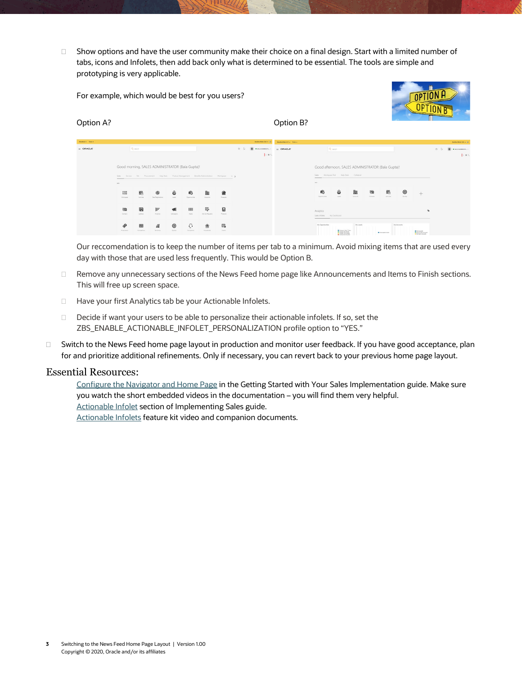□ Show options and have the user community make their choice on a final design. Start with a limited number of tabs, icons and Infolets, then add back only what is determined to be essential. The tools are simple and prototyping is very applicable.



Our reccomendation is to keep the number of items per tab to a minimum. Avoid mixing items that are used every day with those that are used less frequently. This would be Option B.

- $\Box$  Remove any unnecessary sections of the News Feed home page like Announcements and Items to Finish sections. This will free up screen space.
- □ Have your first Analytics tab be your Actionable Infolets.
- $\Box$  Decide if want your users to be able to personalize their actionable infolets. If so, set the ZBS\_ENABLE\_ACTIONABLE\_INFOLET\_PERSONALIZATION profile option to "YES."
- $\Box$  Switch to the News Feed home page layout in production and monitor user feedback. If you have good acceptance, plan for and prioritize additional refinements. Only if necessary, you can revert back to your previous home page layout.

### Essential Resources:

[Configure the Navigator and Home Page](http://www.oracle.com/pls/topic/lookup?ctx=cloud&id=FASMC3572355) in the Getting Started with Your Sales Implementation guide. Make sure you watch the short embedded videos in the documentation – you will find them very helpful. [Actionable Infolet](http://www.oracle.com/pls/topic/lookup?ctx=cloud&id=OASAL3143502) section of Implementing Sales guide.

[Actionable Infolets](https://videohub.oracle.com/media/Actionable+Infolets+for+CX+Sales+and+B2B+Service/0_v9xzuyo9) feature kit video and companion documents.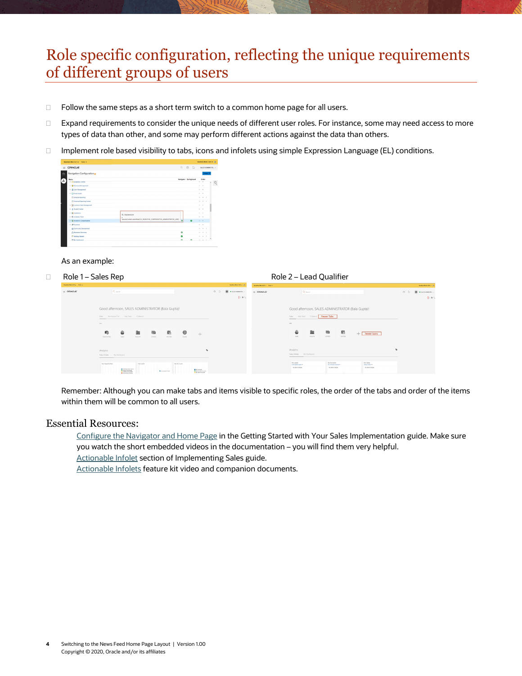### Role specific configuration, reflecting the unique requirements of different groups of users

- $\Box$  Follow the same steps as a short term switch to a common home page for all users.
- $\Box$  Expand requirements to consider the unique needs of different user roles. For instance, some may need access to more types of data than other, and some may perform different actions against the data than others.
- □ Implement role based visibility to tabs, icons and infolets using simple Expression Language (EL) conditions.

| <b>ORACLE</b><br>$\equiv$            | $Q \qquad \qquad \widehat{m} \qquad \widehat{D}$                                   | SALES ADMINISTR v. |                 |          |  |
|--------------------------------------|------------------------------------------------------------------------------------|--------------------|-----------------|----------|--|
| Navigation Configuration             |                                                                                    |                    |                 | Create * |  |
| <b>Name</b><br>$\omega$              | <b>Navigator Springboard</b>                                                       |                    | Online<br>$K$ V |          |  |
| F ET Hudgelany Control               |                                                                                    |                    |                 |          |  |
| > @ Ravenue Management               |                                                                                    | $A - M$            |                 |          |  |
| > E Cash Management                  |                                                                                    | $A - M$            |                 |          |  |
| > CifestAssets                       |                                                                                    | $A - M$            |                 |          |  |
| <b>CE Intrastat Reporting</b>        |                                                                                    |                    | $A \vee B$      |          |  |
| <b>CE Financial Reporting Center</b> |                                                                                    |                    | $A$ $V$ $B$     |          |  |
| > 11 Customer Data Management        |                                                                                    | $A - W$            |                 |          |  |
| > & Student Center                   |                                                                                    | $A - M$            |                 |          |  |
| > III Academics                      | EL Expression                                                                      | $\sim$ $\sim$      |                 |          |  |
| 1 6 Arademic Tools                   |                                                                                    | $\sim$ $\sim$      |                 |          |  |
| > Incentive Compensation             | Security Contest users this coup (COLER LOCAL PRESS ATOM LOCAL DECAY)<br>$\bullet$ | $\sim$ $\sim$      |                 |          |  |
| > 2P Expenses                        |                                                                                    | $\sim$ $\sim$      |                 |          |  |
| G Connunty Development               |                                                                                    |                    | $A = P$         |          |  |
| <b>A</b> Resource Directory          | ۰                                                                                  |                    | $A \vee B$      |          |  |
| <sup>Pr</sup> Getting Started        | ۰                                                                                  |                    | $A = 9$         |          |  |
| <b>STAL GARAGES</b>                  | $\sim$<br>$\sim$                                                                   |                    | $-11 - 1$       |          |  |

As an example:



Remember: Although you can make tabs and items visible to specific roles, the order of the tabs and order of the items within them will be common to all users.

### Essential Resources:

[Configure the Navigator and Home Page](http://www.oracle.com/pls/topic/lookup?ctx=cloud&id=FASMC3572355) in the Getting Started with Your Sales Implementation guide. Make sure you watch the short embedded videos in the documentation – you will find them very helpful. **[Actionable Infolet](http://www.oracle.com/pls/topic/lookup?ctx=cloud&id=OASAL3143502) section of Implementing Sales guide.** 

[Actionable Infolets](https://videohub.oracle.com/media/Actionable+Infolets+for+CX+Sales+and+B2B+Service/0_v9xzuyo9) feature kit video and companion documents.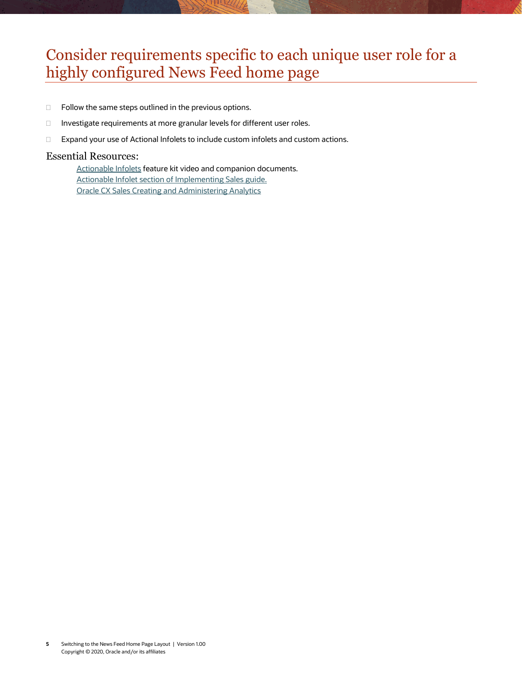### Consider requirements specific to each unique user role for a highly configured News Feed home page

- $\Box$  Follow the same steps outlined in the previous options.
- □ Investigate requirements at more granular levels for different user roles.
- □ Expand your use of Actional Infolets to include custom infolets and custom actions.

### Essential Resources:

[Actionable Infolets](https://videohub.oracle.com/media/Actionable+Infolets+for+CX+Sales+and+B2B+Service/0_v9xzuyo9) feature kit video and companion documents. [Actionable Infolet](http://www.oracle.com/pls/topic/lookup?ctx=cloud&id=OASAL3143502) section of Implementing Sales guide. [Oracle CX Sales Creating and Administering Analytics](http://www.oracle.com/pls/topic/lookup?ctx=cloud&id=FACAA2250925)